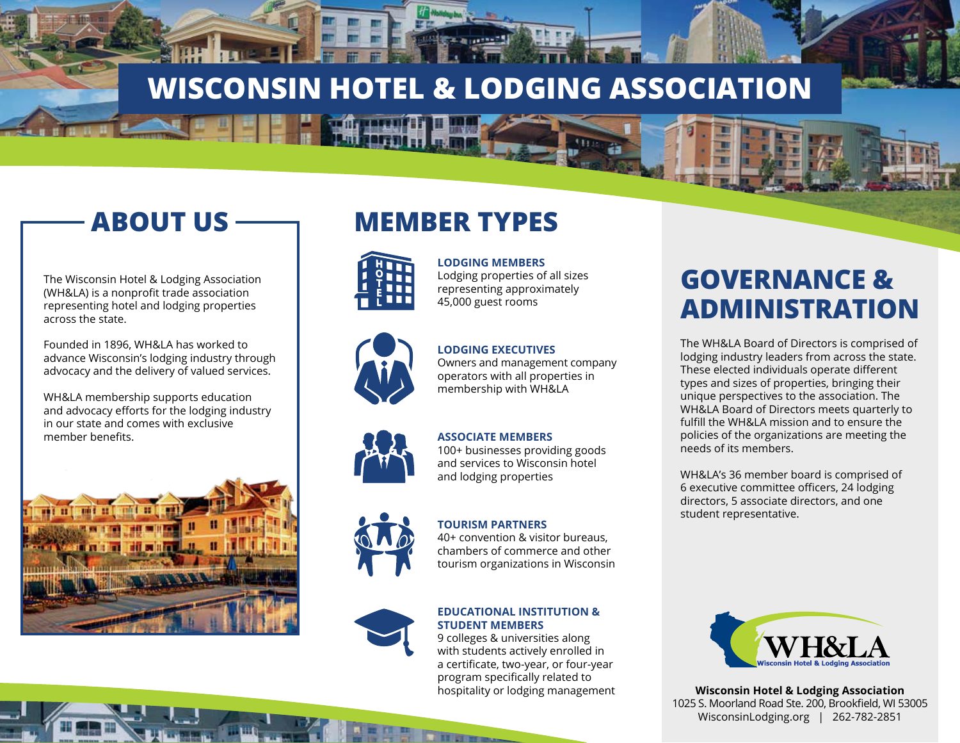# **WISCONSIN HOTEL & LODGING ASSOCIATION**

# **ABOUT US**

The Wisconsin Hotel & Lodging Association (WH&LA) is a nonprofit trade association representing hotel and lodging properties across the state.

Founded in 1896, WH&LA has worked to advance Wisconsin's lodging industry through advocacy and the delivery of valued services.

WH&LA membership supports education and advocacy efforts for the lodging industry in our state and comes with exclusive member benefits.



## **MEMBER TYPES**



### **LODGING MEMBERS**

Lodging properties of all sizes representing approximately 45,000 guest rooms

#### **LODGING EXECUTIVES**

Owners and management company operators with all properties in membership with WH&LA

#### **ASSOCIATE MEMBERS**

100+ businesses providing goods and services to Wisconsin hotel and lodging properties

#### **TOURISM PARTNERS**

40+ convention & visitor bureaus, chambers of commerce and other tourism organizations in Wisconsin

#### **EDUCATIONAL INSTITUTION & STUDENT MEMBERS**

9 colleges & universities along with students actively enrolled in a certificate, two-year, or four-year program specifically related to hospitality or lodging management

## **GOVERNANCE & ADMINISTRATION**

The WH&LA Board of Directors is comprised of lodging industry leaders from across the state. These elected individuals operate different types and sizes of properties, bringing their unique perspectives to the association. The WH&LA Board of Directors meets quarterly to fulfill the WH&LA mission and to ensure the policies of the organizations are meeting the needs of its members.

WH&LA's 36 member board is comprised of 6 executive committee officers, 24 lodging directors, 5 associate directors, and one student representative.



**Wisconsin Hotel & Lodging Association** 1025 S. Moorland Road Ste. 200, Brookfield, WI 53005 WisconsinLodging.org | 262-782-2851